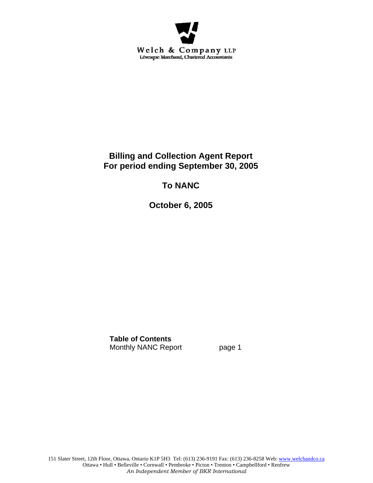

# **Billing and Collection Agent Report For period ending September 30, 2005**

# **To NANC**

**October 6, 2005** 

**Table of Contents** Monthly NANC Report page 1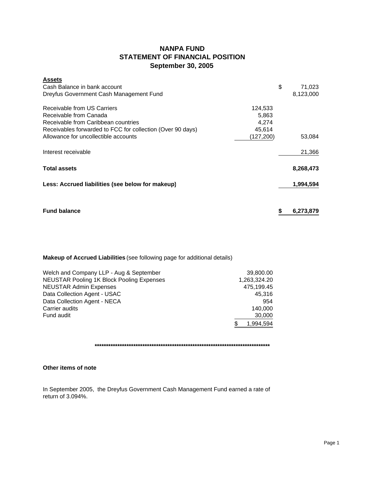## **NANPA FUND STATEMENT OF FINANCIAL POSITION September 30, 2005**

| <b>Assets</b>                                              |            |           |
|------------------------------------------------------------|------------|-----------|
| Cash Balance in bank account                               | \$         | 71,023    |
| Dreyfus Government Cash Management Fund                    |            | 8,123,000 |
| Receivable from US Carriers                                | 124,533    |           |
| Receivable from Canada                                     | 5,863      |           |
| Receivable from Caribbean countries                        | 4,274      |           |
| Receivables forwarded to FCC for collection (Over 90 days) | 45,614     |           |
| Allowance for uncollectible accounts                       | (127, 200) | 53,084    |
| Interest receivable                                        |            | 21,366    |
| <b>Total assets</b>                                        |            | 8,268,473 |
| Less: Accrued liabilities (see below for makeup)           |            | 1,994,594 |
|                                                            |            |           |
| <b>Fund balance</b>                                        | \$         | 6.273.879 |

## **Makeup of Accrued Liabilities** (see following page for additional details)

| Welch and Company LLP - Aug & September          | 39,800.00    |
|--------------------------------------------------|--------------|
| <b>NEUSTAR Pooling 1K Block Pooling Expenses</b> | 1,263,324.20 |
| <b>NEUSTAR Admin Expenses</b>                    | 475,199.45   |
| Data Collection Agent - USAC                     | 45.316       |
| Data Collection Agent - NECA                     | 954          |
| Carrier audits                                   | 140.000      |
| Fund audit                                       | 30,000       |
|                                                  | 1,994,594    |

**\*\*\*\*\*\*\*\*\*\*\*\*\*\*\*\*\*\*\*\*\*\*\*\*\*\*\*\*\*\*\*\*\*\*\*\*\*\*\*\*\*\*\*\*\*\*\*\*\*\*\*\*\*\*\*\*\*\*\*\*\*\*\*\*\*\*\*\*\*\*\*\*\*\*\*\*\***

### **Other items of note**

In September 2005, the Dreyfus Government Cash Management Fund earned a rate of return of 3.094%.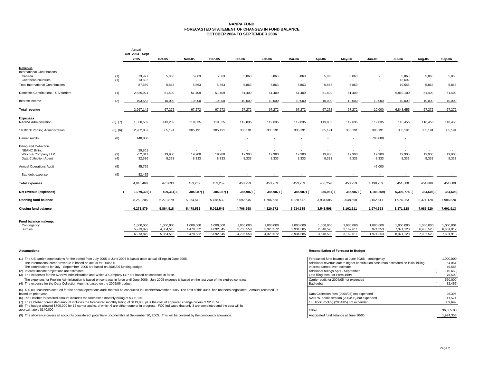#### **NANPA FUND FORECASTED STATEMENT OF CHANGES IN FUND BALANCEOCTOBER 2004 TO SEPTEMBER 2006**

|                                               |            | Actual<br>Oct 2004 - Sept |                 |                                   |                        |                 |                 |                 |                 |                 |                 |                 |                        |                        |
|-----------------------------------------------|------------|---------------------------|-----------------|-----------------------------------|------------------------|-----------------|-----------------|-----------------|-----------------|-----------------|-----------------|-----------------|------------------------|------------------------|
|                                               |            | 2005                      | Oct-05          | Nov-05                            | Dec-05                 | Jan-06          | Feb-06          | Mar-06          | Apr-06          | May-06          | <b>Jun-06</b>   | Jul-06          | Aug-06                 | Sep-06                 |
| Revenue<br><b>International Contributions</b> |            |                           |                 |                                   |                        |                 |                 |                 |                 |                 |                 |                 |                        |                        |
| Canada<br>Caribbean countries                 | (1)<br>(1) | 73,977<br>13,692          | 5,863           | 5,863<br>$\overline{\phantom{a}}$ | 5,863                  | 5,863           | 5,863           | 5,863           | 5,863           | 5,863<br>$\sim$ | ٠<br>ж.         | 5,863<br>13,692 | 5,863                  | 5,863                  |
| <b>Total International Contributions</b>      |            | 87,669                    | 5,863           | 5,863                             | 5,863                  | 5,863           | 5,863           | 5,863           | 5,863           | 5,863           | ٠               | 19,555          | 5,863                  | 5,863                  |
| Domestic Contributions - US carriers          | (1)        | 2,685,921                 | 51,409          | 51,409                            | 51,409                 | 51,409          | 51,409          | 51,409          | 51,409          | 51,409          | ٠               | 6,819,100       | 51,409                 | 51,409                 |
| Interest income                               | (2)        | 193,552                   | 10,000          | 10,000                            | 10,000                 | 10,000          | 10,000          | 10,000          | 10,000          | 10,000          | 10,000          | 10,000          | 10,000                 | 10,000                 |
| <b>Total revenue</b>                          |            | 2,967,142                 | 67,272          | 67,272                            | 67,272                 | 67,272          | 67,272          | 67,272          | 67,272          | 67,272          | 10,000          | 6,848,655       | 67,272                 | 67,272                 |
| <b>Expenses</b><br>NANPA Administration       | (3), (7)   | 1,380,559                 | 143,209         | 119,835                           | 119,835                | 119,835         | 119,835         | 119,835         | 119,835         | 119,835         | 119,835         | 118,456         | 118,456                | 118,456                |
| 1K Block Pooling Administration               | (3), (6)   | 2,982,887                 | 305,191         | 305,191                           | 305,191                | 305,191         | 305,191         | 305,191         | 305,191         | 305,191         | 305,191         | 305,191         | 305,191                | 305,191                |
| <b>Carrier Audits</b>                         | (8)        | 140,000                   |                 |                                   |                        |                 |                 |                 |                 |                 | 700,000         |                 |                        |                        |
| <b>Billing and Collection</b>                 |            |                           |                 |                                   |                        |                 |                 |                 |                 |                 |                 |                 |                        |                        |
| <b>NBANC Billing</b>                          |            | 29,861                    |                 |                                   | $\sim$                 |                 |                 |                 |                 |                 |                 |                 |                        |                        |
| Welch & Company LLP<br>Data Collection Agent  | (3)<br>(4) | 252,311<br>32,636         | 19,900<br>8,333 | 19,900<br>8,333                   | 19,900<br>8,333        | 19,900<br>8,333 | 19,900<br>8,333 | 19,900<br>8,333 | 19,900<br>8,333 | 19,900<br>8,333 | 19,900<br>8,333 | 19,900<br>8,333 | 19,900<br>8,333        | 19,900<br>8,333        |
| Annual Operations Audit                       | (5)        | 45,759                    |                 |                                   |                        |                 |                 |                 |                 |                 | 45,000          |                 |                        |                        |
| Bad debt expense                              | (9)        | 82,455                    |                 |                                   |                        |                 |                 |                 |                 |                 |                 |                 |                        |                        |
| <b>Total expenses</b>                         |            | 4,946,468                 | 476,633         | 453,259                           | 453,259                | 453,259         | 453,259         | 453,259         | 453,259         | 453,259         | 1,198,259       | 451,880         | 451,880                | 451,880                |
| Net revenue (expenses)                        |            | 1,979,326) (              | 409,361) (      | 385,987) (                        | 385,987) (             | 385,987) (      | 385,987) (      | 385,987) (      | 385,987)        | 385,987) (      | 1,188,259)      | 6,396,775       | 384,608) (             | 384,608)               |
| Opening fund balance                          |            | 8,253,205                 | 6,273,879       | 5,864,518                         | 5,478,532              | 5,092,545       | 4,706,558       | 4,320,572       | 3,934,585       | 3,548,598       | 3,162,611       | 1,974,353       | 8,371,128              | 7,986,520              |
| <b>Closing fund balance</b>                   |            | 6,273,879                 | 5,864,518       | 5,478,532                         | 5,092,545              | 4,706,558       | 4,320,572       | 3,934,585       | 3,548,598       | 3,162,611       | 1,974,353       | 8,371,128       | 7,986,520              | 7,601,913              |
| Fund balance makeup:                          |            |                           |                 |                                   |                        |                 |                 |                 |                 |                 |                 |                 |                        |                        |
| Contingency                                   |            | 1,000,000                 | 1,000,000       | 1,000,000                         | 1,000,000              | 1,000,000       | 1,000,000       | 1,000,000       | 1,000,000       | 1,000,000       | 1,000,000       | 1,000,000       | 1,000,000              | 1,000,001              |
| Surplus                                       |            | 5,273,879                 | 4,864,518       | 4,478,532                         | 4,092,545<br>5.092.545 | 3,706,558       | 3,320,572       | 2,934,585       | 2.548.598       | 2,162,611       | 974,353         | 7.371.128       | 6,986,520<br>7.986.520 | 6,601,912<br>7,601,913 |
|                                               |            | 6,273,879                 | 5,864,518       | 5,478,532                         |                        | 4,706,558       | 4,320,572       | 3,934,585       | 3,548,598       | 3,162,611       | 1,974,353       | 8,371,128       |                        |                        |

(1) The US carrier contributions for the period from July 2005 to June 2006 is based upon actual billings in June 2005. The International carrier revenue is based on actual for 2005/06.

#### **Assumptions: Reconciliation of Forecast to Budget**

| (1) The US carrier contributions for the period from July 2005 to June 2006 is based upon actual billings in June 2005.                                                           | Forecasted fund balance at June 30/06 - contingency                                  | 1,000,000 |
|-----------------------------------------------------------------------------------------------------------------------------------------------------------------------------------|--------------------------------------------------------------------------------------|-----------|
| The International carrier revenue is based on actual for 2005/06.                                                                                                                 | Additional revenue due to higher contribution base than estimated on initial billing | 54.061    |
| The contributions for July - September 2006 are based on 2005/06 funding budget.                                                                                                  | Interest earned over estimate                                                        | 49,585    |
| (2) Interest income projections are estimates                                                                                                                                     | Additional billings April - September                                                | 115,658)  |
| (3) The expenses for the NANPA Administration and Welch & Company LLP are based on contracts in force.                                                                            | Late filing fees for Form 499A                                                       | 75,500    |
| The expenses for Pooling Administration is based on contracts in force until June 2006. July 2005 expense is based on the last year of the expired contract.                      | Carrier audit for 2004/05 not expended                                               | 560,000   |
| (4) The expense for the Data Collection Agent is based on the 2005/06 budget.                                                                                                     | Bad debts                                                                            | 82,455)   |
| (5) \$30,000 has been accrued for the annual operations audit that will be conducted in October/November 2005. The cost of this audit has not been negotiated. Amount recorded is |                                                                                      |           |
| based on prior year.                                                                                                                                                              | Data Collection fees (2004/05) not expended                                          | 25,395    |
| (6) The October forecasted amount includes the forecasted monthly billing of \$305,191                                                                                            | NANPA administration (2004/05) not expended                                          | 11.571    |
| (7) The October forecasted amount includes the forecasted monthly billing of \$119,835 plus the cost of approved change orders of \$23,374                                        | 1K Block Pooling (2004/05) not expended                                              | 359,699   |
| (8) The budget allowed \$700,000 for 16 carrier audits, of which 6 are either done or in progress. FCC indicated that only 3 are completed and the cost will be                   |                                                                                      |           |
| approximately \$140,000                                                                                                                                                           | Other                                                                                | 36,655.00 |
| (9) The allowance covers all accounts considered potentially uncollectible at September 30, 2005. This will be covered by the contigency allowance.                               | Anticipated fund balance at June 30/06                                               | 1.974.353 |